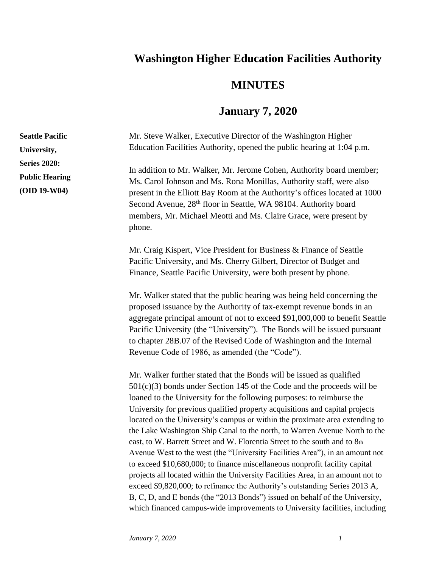## **Washington Higher Education Facilities Authority**

## **MINUTES**

## **January 7, 2020**

Mr. Steve Walker, Executive Director of the Washington Higher Education Facilities Authority, opened the public hearing at 1:04 p.m. In addition to Mr. Walker, Mr. Jerome Cohen, Authority board member; Ms. Carol Johnson and Ms. Rona Monillas, Authority staff, were also present in the Elliott Bay Room at the Authority's offices located at 1000 Second Avenue, 28<sup>th</sup> floor in Seattle, WA 98104. Authority board members, Mr. Michael Meotti and Ms. Claire Grace, were present by phone. Mr. Craig Kispert, Vice President for Business & Finance of Seattle Pacific University, and Ms. Cherry Gilbert, Director of Budget and Finance, Seattle Pacific University, were both present by phone. Mr. Walker stated that the public hearing was being held concerning the proposed issuance by the Authority of tax-exempt revenue bonds in an aggregate principal amount of not to exceed \$91,000,000 to benefit Seattle Pacific University (the "University"). The Bonds will be issued pursuant to chapter 28B.07 of the Revised Code of Washington and the Internal Revenue Code of 1986, as amended (the "Code"). Mr. Walker further stated that the Bonds will be issued as qualified 501(c)(3) bonds under Section 145 of the Code and the proceeds will be loaned to the University for the following purposes: to reimburse the University for previous qualified property acquisitions and capital projects located on the University's campus or within the proximate area extending to the Lake Washington Ship Canal to the north, to Warren Avenue North to the east, to W. Barrett Street and W. Florentia Street to the south and to 8th Avenue West to the west (the "University Facilities Area"), in an amount not **Seattle Pacific University, Series 2020: Public Hearing (OID 19-W04)**

to exceed \$10,680,000; to finance miscellaneous nonprofit facility capital projects all located within the University Facilities Area, in an amount not to exceed \$9,820,000; to refinance the Authority's outstanding Series 2013 A, B, C, D, and E bonds (the "2013 Bonds") issued on behalf of the University, which financed campus-wide improvements to University facilities, including